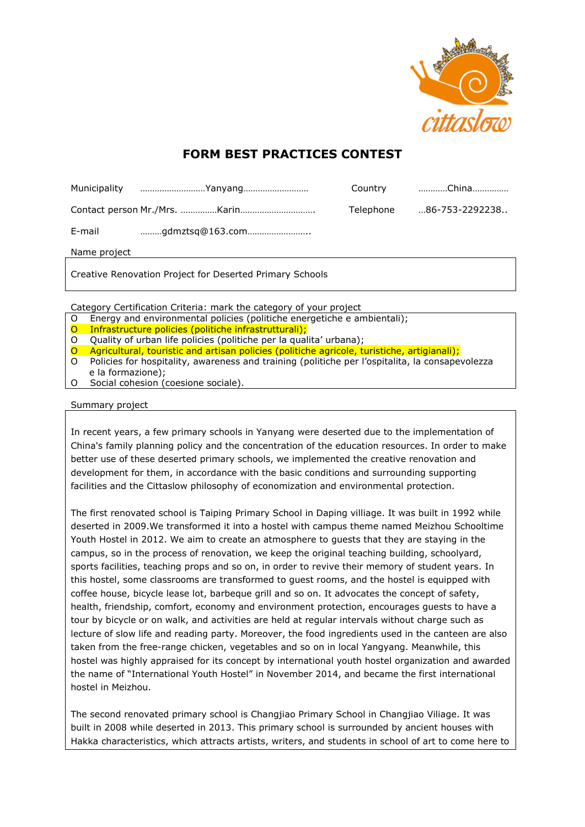

# **FORM BEST PRACTICES CONTEST**

|              | Municipality Yanyang |           | Country China  |
|--------------|----------------------|-----------|----------------|
|              |                      | Telephone | 86-753-2292238 |
| E-mail       | gdmztsq@163.com      |           |                |
| Name project |                      |           |                |

Creative Renovation Project for Deserted Primary Schools

Category Certification Criteria: mark the category of your project

- O Energy and environmental policies (politiche energetiche e ambientali);
- O Infrastructure policies (politiche infrastrutturali);
- O Quality of urban life policies (politiche per la qualita' urbana);
- O Agricultural, touristic and artisan policies (politiche agricole, turistiche, artigianali);
- O Policies for hospitality, awareness and training (politiche per l'ospitalita, la consapevolezza e la formazione);
- O Social cohesion (coesione sociale).

### Summary project

In recent years, a few primary schools in Yanyang were deserted due to the implementation of China's family planning policy and the concentration of the education resources. In order to make better use of these deserted primary schools, we implemented the creative renovation and development for them, in accordance with the basic conditions and surrounding supporting facilities and the Cittaslow philosophy of [economization](app:ds:economization) [and](app:ds:and) [environmental](app:ds:environmental) protection.

The first renovated school is Taiping Primary School in Daping villiage. It was built in 1992 while deserted in 2009.We transformed it into a hostel with campus theme named Meizhou Schooltime Youth Hostel in 2012. We aim to create an atmosphere to guests that they are staying in the campus, so in the process of renovation, we keep the original teaching building, schoolyard, sports facilities, teaching props and so on, in order to revive their memory of student years. In this hostel, some classrooms are transformed to guest rooms, and the hostel is equipped with coffee house, bicycle lease lot, barbeque grill and so on. It advocates the concept of safety, health, friendship, comfort, economy and environment protection, encourages guests to have a tour by bicycle or on walk, and activities are held at regular intervals without charge such as lecture of slow life and reading party. Moreover, the food ingredients used in the canteen are also taken from the free-range chicken, vegetables and so on in local Yangyang. Meanwhile, this hostel was highly appraised for its concept by international youth hostel organization and awarded the name of "International Youth Hostel" in November 2014, and became the first international hostel in Meizhou.

The second renovated primary school is Changjiao Primary School in Changjiao Viliage. It was built in 2008 while deserted in 2013. This primary school is surrounded by ancient houses with Hakka characteristics, which attracts artists, writers, and students in school of art to come here to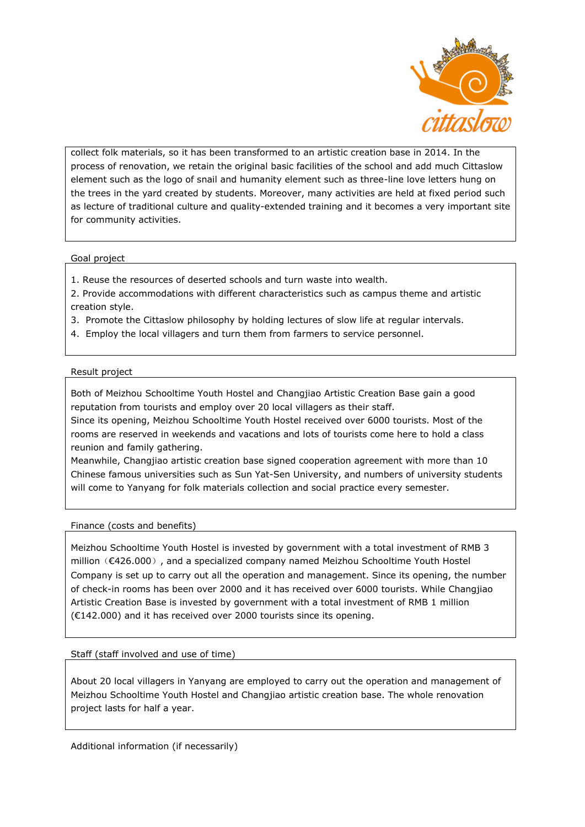

collect folk materials, so it has been transformed to an artistic creation base in 2014. In the process of renovation, we retain the original basic facilities of the school and add much Cittaslow element such as the logo of snail and humanity element such as three-line love letters hung on the trees in the yard created by students. Moreover, many activities are held at fixed period such as lecture of traditional culture and quality-extended training and it becomes a very important site for community activities.

### Goal project

- 1. Reuse the resources of deserted schools and turn waste into wealth.
- 2. Provide accommodations with different characteristics such as campus theme and artistic creation style.
- 3. Promote the Cittaslow philosophy by holding lectures of slow life at regular intervals.
- 4. Employ the local villagers and turn them from farmers to service personnel.

### Result project

Both of Meizhou Schooltime Youth Hostel and Changjiao Artistic Creation Base gain a good reputation from tourists and employ over 20 local villagers as their staff.

Since its opening, Meizhou Schooltime Youth Hostel received over 6000 tourists. Most of the rooms are reserved in weekends and vacations and lots of tourists come here to hold a class reunion and family gathering.

Meanwhile, Changjiao artistic creation base signed cooperation agreement with more than 10 Chinese famous universities such as Sun Yat-Sen University, and numbers of university students will come to Yanyang for folk materials collection and social practice every semester.

## Finance (costs and benefits)

Meizhou Schooltime Youth Hostel is invested by government with a total investment of RMB 3 million (€426.000), and a specialized company named Meizhou Schooltime Youth Hostel Company is set up to carry out all the operation and management. Since its opening, the number of check-in rooms has been over 2000 and it has received over 6000 tourists. While Changjiao Artistic Creation Base is invested by government with a total investment of RMB 1 million (€142.000) and it has received over 2000 tourists since its opening.

Staff (staff involved and use of time)

About 20 local villagers in Yanyang are employed to carry out the operation and management of Meizhou Schooltime Youth Hostel and Changjiao artistic creation base. The whole renovation project lasts for half a year.